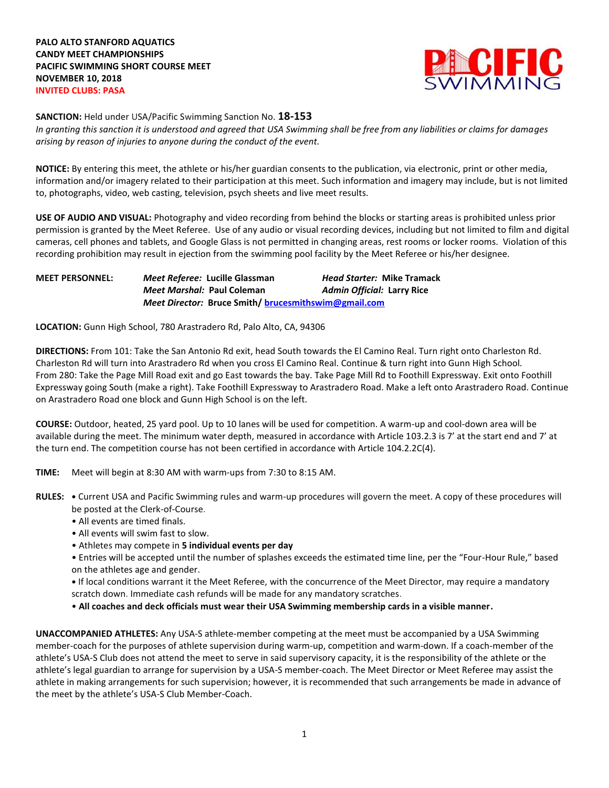

**SANCTION:** Held under USA/Pacific Swimming Sanction No. **18-153**

*In granting this sanction it is understood and agreed that USA Swimming shall be free from any liabilities or claims for damages arising by reason of injuries to anyone during the conduct of the event.*

**NOTICE:** By entering this meet, the athlete or his/her guardian consents to the publication, via electronic, print or other media, information and/or imagery related to their participation at this meet. Such information and imagery may include, but is not limited to, photographs, video, web casting, television, psych sheets and live meet results.

**USE OF AUDIO AND VISUAL:** Photography and video recording from behind the blocks or starting areas is prohibited unless prior permission is granted by the Meet Referee. Use of any audio or visual recording devices, including but not limited to film and digital cameras, cell phones and tablets, and Google Glass is not permitted in changing areas, rest rooms or locker rooms. Violation of this recording prohibition may result in ejection from the swimming pool facility by the Meet Referee or his/her designee.

| <b>MEET PERSONNEL:</b> |                            | Meet Referee: Lucille Glassman                              | <b>Head Starter: Mike Tramack</b> |
|------------------------|----------------------------|-------------------------------------------------------------|-----------------------------------|
|                        | Meet Marshal: Paul Coleman |                                                             | <b>Admin Official: Larry Rice</b> |
|                        |                            | <b>Meet Director: Bruce Smith/ brucesmithswim@gmail.com</b> |                                   |

**LOCATION:** Gunn High School, 780 Arastradero Rd, Palo Alto, CA, 94306

**DIRECTIONS:** From 101: Take the San Antonio Rd exit, head South towards the El Camino Real. Turn right onto Charleston Rd. Charleston Rd will turn into Arastradero Rd when you cross El Camino Real. Continue & turn right into Gunn High School. From 280: Take the Page Mill Road exit and go East towards the bay. Take Page Mill Rd to Foothill Expressway. Exit onto Foothill Expressway going South (make a right). Take Foothill Expressway to Arastradero Road. Make a left onto Arastradero Road. Continue on Arastradero Road one block and Gunn High School is on the left.

**COURSE:** Outdoor, heated, 25 yard pool. Up to 10 lanes will be used for competition. A warm-up and cool-down area will be available during the meet. The minimum water depth, measured in accordance with Article 103.2.3 is 7' at the start end and 7' at the turn end. The competition course has not been certified in accordance with Article 104.2.2C(4).

**TIME:** Meet will begin at 8:30 AM with warm-ups from 7:30 to 8:15 AM.

- **RULES: •** Current USA and Pacific Swimming rules and warm-up procedures will govern the meet. A copy of these procedures will be posted at the Clerk-of-Course.
	- All events are timed finals.
	- All events will swim fast to slow.
	- Athletes may compete in **5 individual events per day**
	- Entries will be accepted until the number of splashes exceeds the estimated time line, per the "Four-Hour Rule," based on the athletes age and gender.
	- **•** If local conditions warrant it the Meet Referee, with the concurrence of the Meet Director, may require a mandatory scratch down. Immediate cash refunds will be made for any mandatory scratches.
	- **All coaches and deck officials must wear their USA Swimming membership cards in a visible manner.**

**UNACCOMPANIED ATHLETES:** Any USA-S athlete-member competing at the meet must be accompanied by a USA Swimming member-coach for the purposes of athlete supervision during warm-up, competition and warm-down. If a coach-member of the athlete's USA-S Club does not attend the meet to serve in said supervisory capacity, it is the responsibility of the athlete or the athlete's legal guardian to arrange for supervision by a USA-S member-coach. The Meet Director or Meet Referee may assist the athlete in making arrangements for such supervision; however, it is recommended that such arrangements be made in advance of the meet by the athlete's USA-S Club Member-Coach.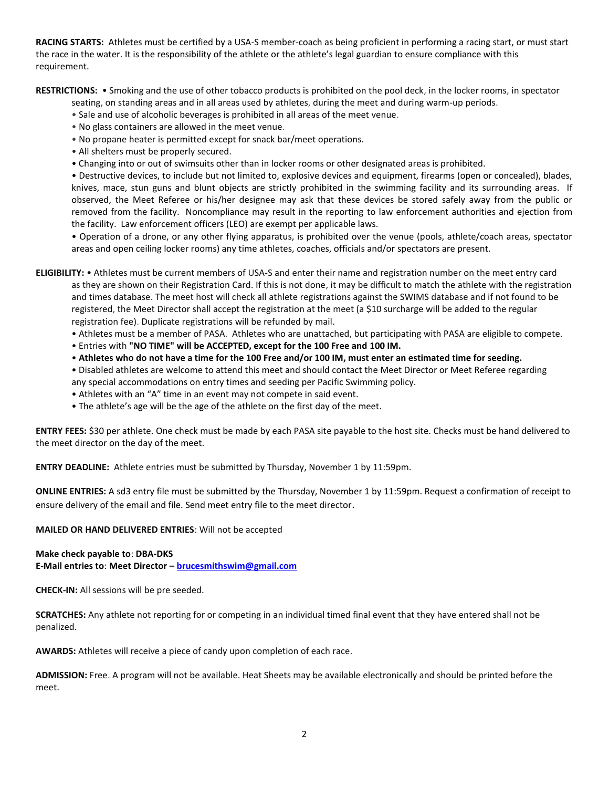**RACING STARTS:** Athletes must be certified by a USA-S member-coach as being proficient in performing a racing start, or must start the race in the water. It is the responsibility of the athlete or the athlete's legal guardian to ensure compliance with this requirement.

**RESTRICTIONS:** • Smoking and the use of other tobacco products is prohibited on the pool deck, in the locker rooms, in spectator

seating, on standing areas and in all areas used by athletes, during the meet and during warm-up periods.

- Sale and use of alcoholic beverages is prohibited in all areas of the meet venue.
- No glass containers are allowed in the meet venue.
- No propane heater is permitted except for snack bar/meet operations.
- All shelters must be properly secured.
- Changing into or out of swimsuits other than in locker rooms or other designated areas is prohibited.

• Destructive devices, to include but not limited to, explosive devices and equipment, firearms (open or concealed), blades, knives, mace, stun guns and blunt objects are strictly prohibited in the swimming facility and its surrounding areas. If observed, the Meet Referee or his/her designee may ask that these devices be stored safely away from the public or removed from the facility. Noncompliance may result in the reporting to law enforcement authorities and ejection from the facility. Law enforcement officers (LEO) are exempt per applicable laws.

• Operation of a drone, or any other flying apparatus, is prohibited over the venue (pools, athlete/coach areas, spectator areas and open ceiling locker rooms) any time athletes, coaches, officials and/or spectators are present.

**ELIGIBILITY:** • Athletes must be current members of USA-S and enter their name and registration number on the meet entry card as they are shown on their Registration Card. If this is not done, it may be difficult to match the athlete with the registration and times database. The meet host will check all athlete registrations against the SWIMS database and if not found to be registered, the Meet Director shall accept the registration at the meet (a \$10 surcharge will be added to the regular registration fee). Duplicate registrations will be refunded by mail.

- Athletes must be a member of PASA. Athletes who are unattached, but participating with PASA are eligible to compete.
- Entries with **"NO TIME" will be ACCEPTED, except for the 100 Free and 100 IM.**
- **Athletes who do not have a time for the 100 Free and/or 100 IM, must enter an estimated time for seeding.**
- Disabled athletes are welcome to attend this meet and should contact the Meet Director or Meet Referee regarding any special accommodations on entry times and seeding per Pacific Swimming policy.
- Athletes with an "A" time in an event may not compete in said event.
- The athlete's age will be the age of the athlete on the first day of the meet.

**ENTRY FEES:** \$30 per athlete. One check must be made by each PASA site payable to the host site. Checks must be hand delivered to the meet director on the day of the meet.

**ENTRY DEADLINE:** Athlete entries must be submitted by Thursday, November 1 by 11:59pm.

**ONLINE ENTRIES:** A sd3 entry file must be submitted by the Thursday, November 1 by 11:59pm. Request a confirmation of receipt to ensure delivery of the email and file. Send meet entry file to the meet director.

**MAILED OR HAND DELIVERED ENTRIES**: Will not be accepted

## **Make check payable to**: **DBA-DKS**

**E-Mail entries to**: **Meet Director – [brucesmithswim@gmail.com](mailto:brucesmithswim@gmail.com)**

**CHECK-IN:** All sessions will be pre seeded.

**SCRATCHES:** Any athlete not reporting for or competing in an individual timed final event that they have entered shall not be penalized.

**AWARDS:** Athletes will receive a piece of candy upon completion of each race.

**ADMISSION:** Free. A program will not be available. Heat Sheets may be available electronically and should be printed before the meet.